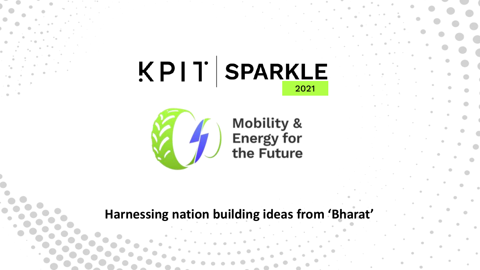# $|XPI|$  SPARKLE



**Mobility &<br>Energy for<br>the Future** 

#### **Harnessing nation building ideas from 'Bharat'**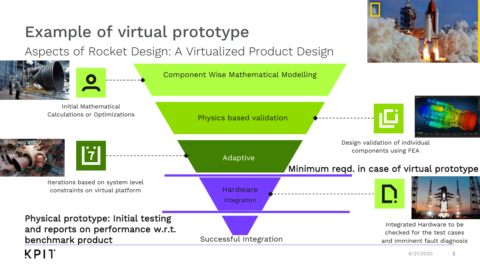

#### 8/21/2020 2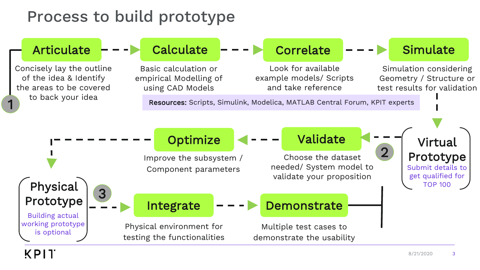#### Process to build prototype

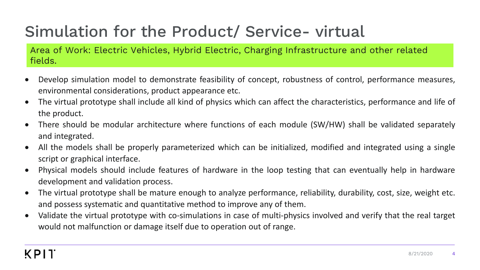Area of Work: Electric Vehicles, Hybrid Electric, Charging Infrastructure and other related fields.

- Develop simulation model to demonstrate feasibility of concept, robustness of control, performance measures, environmental considerations, product appearance etc.
- The virtual prototype shall include all kind of physics which can affect the characteristics, performance and life of the product.
- There should be modular architecture where functions of each module (SW/HW) shall be validated separately and integrated.
- All the models shall be properly parameterized which can be initialized, modified and integrated using a single script or graphical interface.
- Physical models should include features of hardware in the loop testing that can eventually help in hardware development and validation process.
- The virtual prototype shall be mature enough to analyze performance, reliability, durability, cost, size, weight etc. and possess systematic and quantitative method to improve any of them.
- Validate the virtual prototype with co-simulations in case of multi-physics involved and verify that the real target would not malfunction or damage itself due to operation out of range.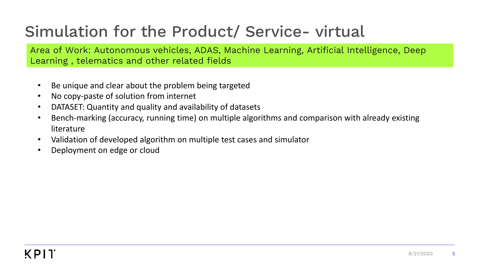Area of Work: Autonomous vehicles, ADAS, Machine Learning, Artificial Intelligence, Deep Learning , telematics and other related fields

- Be unique and clear about the problem being targeted
- No copy-paste of solution from internet
- DATASET: Quantity and quality and availability of datasets
- Bench-marking (accuracy, running time) on multiple algorithms and comparison with already existing literature
- Validation of developed algorithm on multiple test cases and simulator
- Deployment on edge or cloud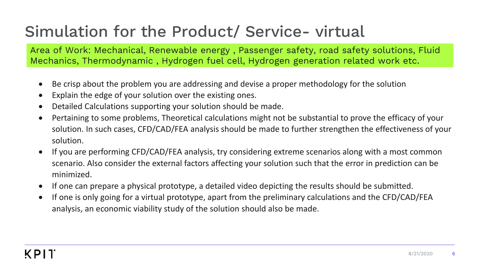Area of Work: Mechanical, Renewable energy , Passenger safety, road safety solutions, Fluid Mechanics, Thermodynamic , Hydrogen fuel cell, Hydrogen generation related work etc.

- Be crisp about the problem you are addressing and devise a proper methodology for the solution
- Explain the edge of your solution over the existing ones.
- Detailed Calculations supporting your solution should be made.
- Pertaining to some problems, Theoretical calculations might not be substantial to prove the efficacy of your solution. In such cases, CFD/CAD/FEA analysis should be made to further strengthen the effectiveness of your solution.
- If you are performing CFD/CAD/FEA analysis, try considering extreme scenarios along with a most common scenario. Also consider the external factors affecting your solution such that the error in prediction can be minimized.
- If one can prepare a physical prototype, a detailed video depicting the results should be submitted.
- If one is only going for a virtual prototype, apart from the preliminary calculations and the CFD/CAD/FEA analysis, an economic viability study of the solution should also be made.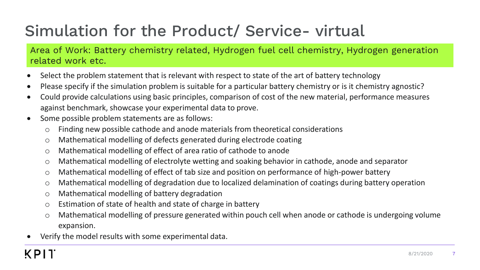Area of Work: Battery chemistry related, Hydrogen fuel cell chemistry, Hydrogen generation related work etc.

- Select the problem statement that is relevant with respect to state of the art of battery technology
- Please specify if the simulation problem is suitable for a particular battery chemistry or is it chemistry agnostic?
- Could provide calculations using basic principles, comparison of cost of the new material, performance measures against benchmark, showcase your experimental data to prove.
- Some possible problem statements are as follows:
	- o Finding new possible cathode and anode materials from theoretical considerations
	- o Mathematical modelling of defects generated during electrode coating
	- o Mathematical modelling of effect of area ratio of cathode to anode
	- o Mathematical modelling of electrolyte wetting and soaking behavior in cathode, anode and separator
	- o Mathematical modelling of effect of tab size and position on performance of high-power battery
	- o Mathematical modelling of degradation due to localized delamination of coatings during battery operation
	- o Mathematical modelling of battery degradation
	- o Estimation of state of health and state of charge in battery
	- o Mathematical modelling of pressure generated within pouch cell when anode or cathode is undergoing volume expansion.
- Verify the model results with some experimental data.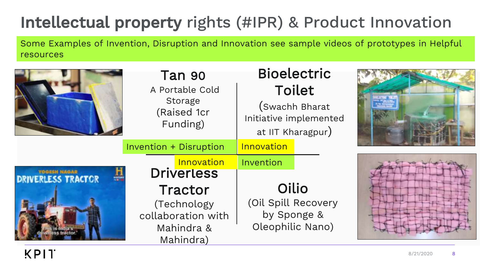# Intellectual property rights (#IPR) & Product Innovation

Some Examples of Invention, Disruption and Innovation see sample videos of prototypes in Helpful resources

|                                                  | <b>Tan 90</b><br>A Portable Cold<br>Storage<br>(Raised 1cr<br>Funding)   | <b>Bioelectric</b><br><b>Toilet</b><br>(Swachh Bharat<br>Initiative implemented<br>at IIT Kharagpur) |  |
|--------------------------------------------------|--------------------------------------------------------------------------|------------------------------------------------------------------------------------------------------|--|
|                                                  | <b>Invention + Disruption</b>                                            | Innovation                                                                                           |  |
| <b>YOGESH NAGAR</b><br><b>DRIVERLESS TRACTOR</b> | Innovation<br><b>Driverless</b>                                          | Invention                                                                                            |  |
|                                                  | Tractor<br>(Technology)<br>collaboration with<br>Mahindra &<br>Mahindra) | Oilio<br>(Oil Spill Recovery<br>by Sponge &<br>Oleophilic Nano)                                      |  |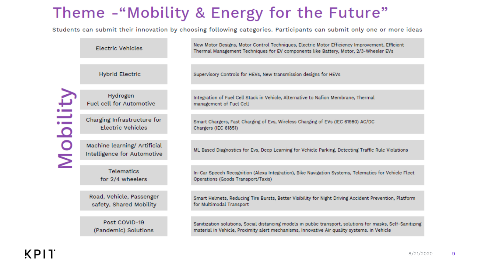#### Theme - "Mobility & Energy for the Future"

Students can submit their innovation by choosing following categories. Participants can submit only one or more ideas

|                         | Electric Vehicles                                           | New Motor Designs, Motor Control Techniques, Electric Motor Efficiency Improvement, Efficient<br>Thermal Management Techniques for EV components like Battery, Motor, 2/3-Wheeler EVs                     |
|-------------------------|-------------------------------------------------------------|-----------------------------------------------------------------------------------------------------------------------------------------------------------------------------------------------------------|
|                         |                                                             |                                                                                                                                                                                                           |
|                         | <b>Hybrid Electric</b>                                      | Supervisory Controls for HEVs, New transmission designs for HEVs                                                                                                                                          |
|                         |                                                             |                                                                                                                                                                                                           |
| bility                  | Hydrogen<br><b>Fuel cell for Automotive</b>                 | Integration of Fuel Cell Stack in Vehicle, Alternative to Nafion Membrane, Thermal<br>management of Fuel Cell                                                                                             |
|                         |                                                             |                                                                                                                                                                                                           |
|                         | Charging Infrastructure for<br><b>Electric Vehicles</b>     | Smart Chargers, Fast Charging of Evs, Wireless Charging of EVs (IEC 61980) AC/DC<br>Chargers (IEC 61851)                                                                                                  |
|                         |                                                             |                                                                                                                                                                                                           |
| $\overline{\mathsf{M}}$ | Machine learning/ Artificial<br>Intelligence for Automotive | ML Based Diagnostics for Evs, Deep Learning for Vehicle Parking, Detecting Traffic Rule Violations                                                                                                        |
|                         |                                                             |                                                                                                                                                                                                           |
|                         | <b>Telematics</b><br>for 2/4 wheelers                       | In-Car Speech Recognition (Alexa Integration), Bike Navigation Systems, Telematics for Vehicle Fleet<br>Operations (Goods Transport/Taxis)                                                                |
|                         |                                                             |                                                                                                                                                                                                           |
|                         | Road, Vehicle, Passenger<br>safety, Shared Mobility         | Smart Helmets, Reducing Tire Bursts, Better Visibility for Night Driving Accident Prevention, Platform<br>for Multimodal Transport                                                                        |
|                         |                                                             |                                                                                                                                                                                                           |
|                         | Post COVID-19<br>(Pandemic) Solutions                       | Sanitization solutions, Social distancing models in public transport, solutions for masks, Self-Sanitizing<br>material in Vehicle, Proximity alert mechanisms, Innovative Air quality systems. in Vehicle |
|                         |                                                             |                                                                                                                                                                                                           |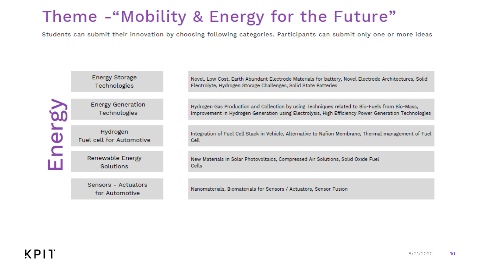#### Theme - "Mobility & Energy for the Future"

Students can submit their innovation by choosing following categories. Participants can submit only one or more ideas

|                                       | Energy Storage<br>Technologies              | Novel, Low Cost, Earth Abundant Electrode Materials for battery, Novel Electrode Architectures, Solid<br>Electrolyte, Hydrogen Storage Challenges, Solid State Batteries                               |
|---------------------------------------|---------------------------------------------|--------------------------------------------------------------------------------------------------------------------------------------------------------------------------------------------------------|
| $\blacktriangle$<br>$\mathbf{\Omega}$ | <b>Energy Generation</b><br>Technologies    | Hydrogen Gas Production and Collection by using Techniques related to Bio-Fuels from Bio-Mass,<br>Improvement in Hydrogen Generation using Electrolysis, High Efficiency Power Generation Technologies |
|                                       | Hydrogen<br><b>Fuel cell for Automotive</b> | Integration of Fuel Cell Stack in Vehicle, Alternative to Nafion Membrane, Thermal management of Fuel<br>Cell                                                                                          |
|                                       | <b>Renewable Energy</b><br><b>Solutions</b> | New Materials in Solar Photovoltaics, Compressed Air Solutions, Solid Oxide Fuel<br><b>Cells</b>                                                                                                       |
|                                       | Sensors - Actuators<br>for Automotive       | Nanomaterials, Biomaterials for Sensors / Actuators, Sensor Fusion                                                                                                                                     |